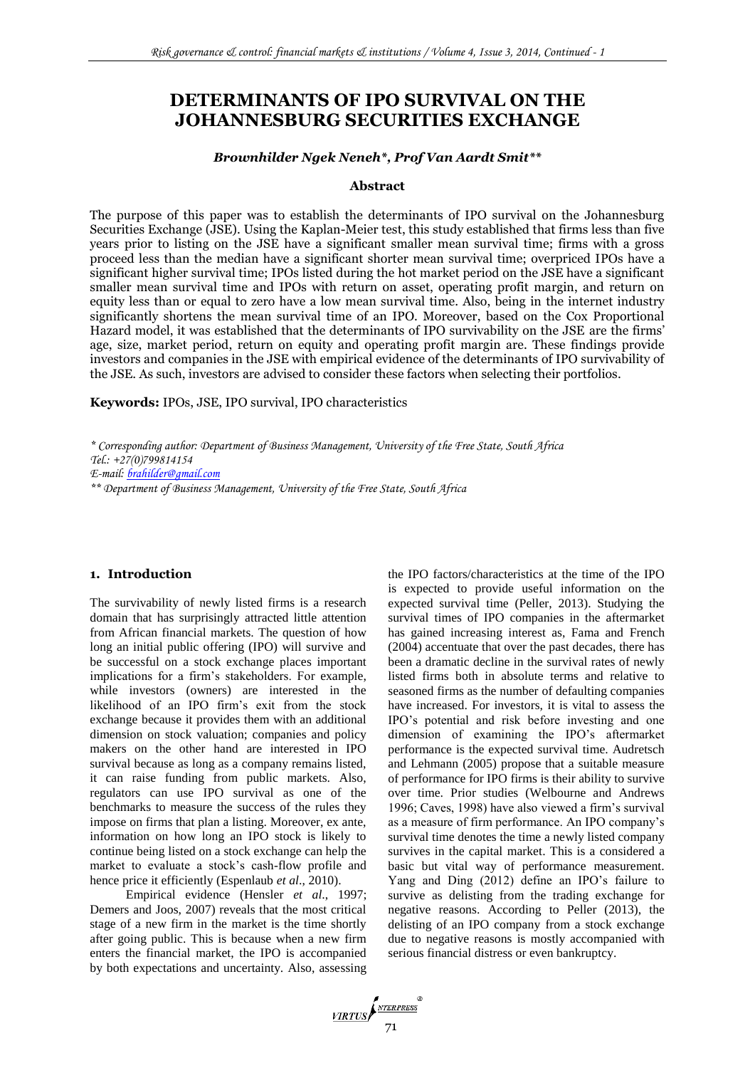# **DETERMINANTS OF IPO SURVIVAL ON THE JOHANNESBURG SECURITIES EXCHANGE**

## *Brownhilder Ngek Neneh\*, Prof Van Aardt Smit\*\**

#### **Abstract**

The purpose of this paper was to establish the determinants of IPO survival on the Johannesburg Securities Exchange (JSE). Using the Kaplan-Meier test, this study established that firms less than five years prior to listing on the JSE have a significant smaller mean survival time; firms with a gross proceed less than the median have a significant shorter mean survival time; overpriced IPOs have a significant higher survival time; IPOs listed during the hot market period on the JSE have a significant smaller mean survival time and IPOs with return on asset, operating profit margin, and return on equity less than or equal to zero have a low mean survival time. Also, being in the internet industry significantly shortens the mean survival time of an IPO. Moreover, based on the Cox Proportional Hazard model, it was established that the determinants of IPO survivability on the JSE are the firms' age, size, market period, return on equity and operating profit margin are. These findings provide investors and companies in the JSE with empirical evidence of the determinants of IPO survivability of the JSE. As such, investors are advised to consider these factors when selecting their portfolios.

**Keywords:** IPOs, JSE, IPO survival, IPO characteristics

*\* Corresponding author: Department of Business Management, University of the Free State, South Africa Tel.: +27(0)799814154*

*E-mail: [brahilder@gmail.com](mailto:brahilder@gmail.com)*

*\*\* Department of Business Management, University of the Free State, South Africa*

### **1. Introduction**

The survivability of newly listed firms is a research domain that has surprisingly attracted little attention from African financial markets. The question of how long an initial public offering (IPO) will survive and be successful on a stock exchange places important implications for a firm's stakeholders. For example, while investors (owners) are interested in the likelihood of an IPO firm's exit from the stock exchange because it provides them with an additional dimension on stock valuation; companies and policy makers on the other hand are interested in IPO survival because as long as a company remains listed, it can raise funding from public markets. Also, regulators can use IPO survival as one of the benchmarks to measure the success of the rules they impose on firms that plan a listing. Moreover, ex ante, information on how long an IPO stock is likely to continue being listed on a stock exchange can help the market to evaluate a stock's cash-flow profile and hence price it efficiently (Espenlaub *et al*., 2010).

Empirical evidence (Hensler *et al*., 1997; Demers and Joos, 2007) reveals that the most critical stage of a new firm in the market is the time shortly after going public. This is because when a new firm enters the financial market, the IPO is accompanied by both expectations and uncertainty. Also, assessing the IPO factors/characteristics at the time of the IPO is expected to provide useful information on the expected survival time (Peller, 2013). Studying the survival times of IPO companies in the aftermarket has gained increasing interest as, Fama and French (2004) accentuate that over the past decades, there has been a dramatic decline in the survival rates of newly listed firms both in absolute terms and relative to seasoned firms as the number of defaulting companies have increased. For investors, it is vital to assess the IPO's potential and risk before investing and one dimension of examining the IPO's aftermarket performance is the expected survival time. Audretsch and Lehmann (2005) propose that a suitable measure of performance for IPO firms is their ability to survive over time. Prior studies (Welbourne and Andrews 1996; Caves, 1998) have also viewed a firm's survival as a measure of firm performance. An IPO company's survival time denotes the time a newly listed company survives in the capital market. This is a considered a basic but vital way of performance measurement. Yang and Ding (2012) define an IPO's failure to survive as delisting from the trading exchange for negative reasons. According to Peller (2013), the delisting of an IPO company from a stock exchange due to negative reasons is mostly accompanied with serious financial distress or even bankruptcy.

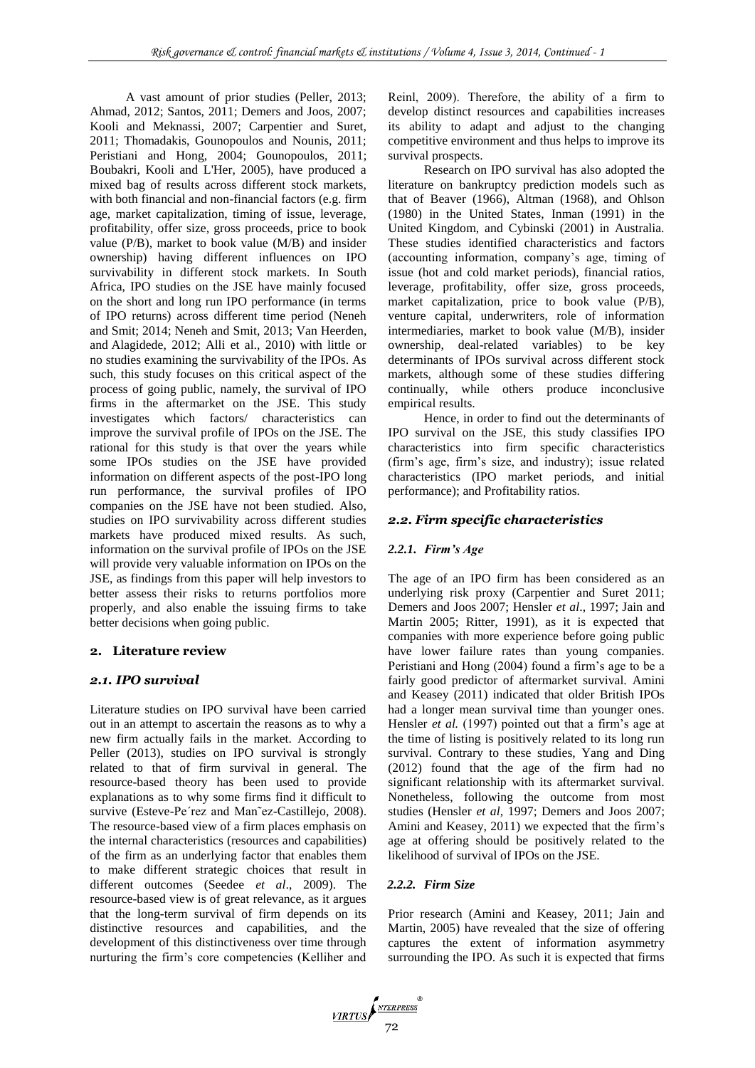A vast amount of prior studies (Peller, 2013; Ahmad, 2012; Santos, 2011; Demers and Joos, 2007; Kooli and Meknassi, 2007; Carpentier and Suret, 2011; Thomadakis, Gounopoulos and Nounis, 2011; Peristiani and Hong, 2004; [Gounopoulos,](http://surrey.academia.edu/DimitriosGounopoulos) 2011; Boubakri, Kooli and L'Her, 2005), have produced a mixed bag of results across different stock markets, with both financial and non-financial factors (e.g. firm age, market capitalization, timing of issue, leverage, profitability, offer size, gross proceeds, price to book value (P/B), market to book value (M/B) and insider ownership) having different influences on IPO survivability in different stock markets. In South Africa, IPO studies on the JSE have mainly focused on the short and long run IPO performance (in terms of IPO returns) across different time period (Neneh and Smit; 2014; Neneh and Smit, 2013; [Van Heerden,](http://www.sciencedirect.com/science/article/pii/S1879933712000310) and [Alagidede,](http://www.sciencedirect.com/science/article/pii/S1879933712000310) 2012; Alli et al., 2010) with little or no studies examining the survivability of the IPOs. As such, this study focuses on this critical aspect of the process of going public, namely, the survival of IPO firms in the aftermarket on the JSE. This study investigates which factors/ characteristics can improve the survival profile of IPOs on the JSE. The rational for this study is that over the years while some IPOs studies on the JSE have provided information on different aspects of the post-IPO long run performance, the survival profiles of IPO companies on the JSE have not been studied. Also, studies on IPO survivability across different studies markets have produced mixed results. As such, information on the survival profile of IPOs on the JSE will provide very valuable information on IPOs on the JSE, as findings from this paper will help investors to better assess their risks to returns portfolios more properly, and also enable the issuing firms to take better decisions when going public.

#### **2. Literature review**

### *2.1. IPO survival*

Literature studies on IPO survival have been carried out in an attempt to ascertain the reasons as to why a new firm actually fails in the market. According to Peller (2013), studies on IPO survival is strongly related to that of firm survival in general. The resource-based theory has been used to provide explanations as to why some firms find it difficult to survive (Esteve-Pe´rez and Man˜ez-Castillejo, 2008). The resource-based view of a firm places emphasis on the internal characteristics (resources and capabilities) of the firm as an underlying factor that enables them to make different strategic choices that result in different outcomes (Seedee *et al*., 2009). The resource-based view is of great relevance, as it argues that the long-term survival of firm depends on its distinctive resources and capabilities, and the development of this distinctiveness over time through nurturing the firm's core competencies (Kelliher and Reinl, 2009). Therefore, the ability of a firm to develop distinct resources and capabilities increases its ability to adapt and adjust to the changing competitive environment and thus helps to improve its survival prospects.

Research on IPO survival has also adopted the literature on bankruptcy prediction models such as that of Beaver (1966), Altman (1968), and Ohlson (1980) in the United States, Inman (1991) in the United Kingdom, and Cybinski (2001) in Australia. These studies identified characteristics and factors (accounting information, company's age, timing of issue (hot and cold market periods), financial ratios, leverage, profitability, offer size, gross proceeds, market capitalization, price to book value (P/B), venture capital, underwriters, role of information intermediaries, market to book value (M/B), insider ownership, deal-related variables) to be key determinants of IPOs survival across different stock markets, although some of these studies differing continually, while others produce inconclusive empirical results.

Hence, in order to find out the determinants of IPO survival on the JSE, this study classifies IPO characteristics into firm specific characteristics (firm's age, firm's size, and industry); issue related characteristics (IPO market periods, and initial performance); and Profitability ratios.

### *2.2. Firm specific characteristics*

#### *2.2.1. Firm's Age*

The age of an IPO firm has been considered as an underlying risk proxy (Carpentier and Suret 2011; Demers and Joos 2007; Hensler *et al*., 1997; Jain and Martin 2005; Ritter, 1991), as it is expected that companies with more experience before going public have lower failure rates than young companies. Peristiani and Hong (2004) found a firm's age to be a fairly good predictor of aftermarket survival. Amini and Keasey (2011) indicated that older British IPOs had a longer mean survival time than younger ones. Hensler *et al.* (1997) pointed out that a firm's age at the time of listing is positively related to its long run survival. Contrary to these studies, Yang and Ding (2012) found that the age of the firm had no significant relationship with its aftermarket survival. Nonetheless, following the outcome from most studies (Hensler *et al,* 1997; Demers and Joos 2007; Amini and Keasey, 2011) we expected that the firm's age at offering should be positively related to the likelihood of survival of IPOs on the JSE.

### *2.2.2. Firm Size*

Prior research (Amini and Keasey, 2011; Jain and Martin, 2005) have revealed that the size of offering captures the extent of information asymmetry surrounding the IPO. As such it is expected that firms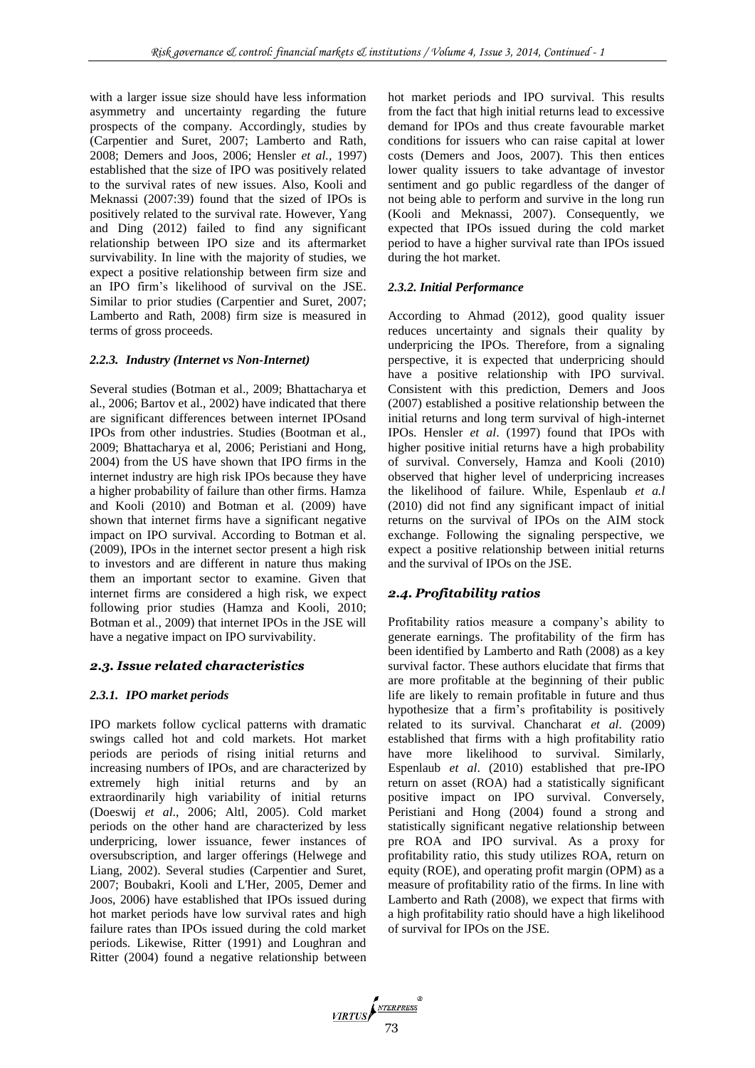with a larger issue size should have less information asymmetry and uncertainty regarding the future prospects of the company. Accordingly, studies by (Carpentier and Suret, 2007; Lamberto and Rath, 2008; Demers and Joos, 2006; Hensler *et al.,* 1997) established that the size of IPO was positively related to the survival rates of new issues. Also, Kooli and Meknassi (2007:39) found that the sized of IPOs is positively related to the survival rate. However, Yang and Ding (2012) failed to find any significant relationship between IPO size and its aftermarket survivability. In line with the majority of studies, we expect a positive relationship between firm size and an IPO firm's likelihood of survival on the JSE. Similar to prior studies (Carpentier and Suret, 2007; Lamberto and Rath, 2008) firm size is measured in terms of gross proceeds.

### *2.2.3. Industry (Internet vs Non-Internet)*

Several studies (Botman et al., 2009; Bhattacharya et al., 2006; Bartov et al., 2002) have indicated that there are significant differences between internet IPOsand IPOs from other industries. Studies (Bootman et al., 2009; Bhattacharya et al, 2006; Peristiani and Hong, 2004) from the US have shown that IPO firms in the internet industry are high risk IPOs because they have a higher probability of failure than other firms. Hamza and Kooli (2010) and Botman et al. (2009) have shown that internet firms have a significant negative impact on IPO survival. According to Botman et al. (2009), IPOs in the internet sector present a high risk to investors and are different in nature thus making them an important sector to examine. Given that internet firms are considered a high risk, we expect following prior studies (Hamza and Kooli, 2010; Botman et al., 2009) that internet IPOs in the JSE will have a negative impact on IPO survivability.

#### *2.3. Issue related characteristics*

#### *2.3.1. IPO market periods*

IPO markets follow cyclical patterns with dramatic swings called hot and cold markets. Hot market periods are periods of rising initial returns and increasing numbers of IPOs, and are characterized by extremely high initial returns and by an extraordinarily high variability of initial returns (Doeswij *et al*., 2006; Altl, 2005). Cold market periods on the other hand are characterized by less underpricing, lower issuance, fewer instances of oversubscription, and larger offerings (Helwege and Liang, 2002). Several studies (Carpentier and Suret, 2007; Boubakri, Kooli and L'Her, 2005, Demer and Joos, 2006) have established that IPOs issued during hot market periods have low survival rates and high failure rates than IPOs issued during the cold market periods. Likewise, Ritter (1991) and Loughran and Ritter (2004) found a negative relationship between hot market periods and IPO survival. This results from the fact that high initial returns lead to excessive demand for IPOs and thus create favourable market conditions for issuers who can raise capital at lower costs (Demers and Joos, 2007). This then entices lower quality issuers to take advantage of investor sentiment and go public regardless of the danger of not being able to perform and survive in the long run (Kooli and Meknassi, 2007). Consequently, we expected that IPOs issued during the cold market period to have a higher survival rate than IPOs issued during the hot market.

#### *2.3.2. Initial Performance*

According to Ahmad (2012), good quality issuer reduces uncertainty and signals their quality by underpricing the IPOs. Therefore, from a signaling perspective, it is expected that underpricing should have a positive relationship with IPO survival. Consistent with this prediction, Demers and Joos (2007) established a positive relationship between the initial returns and long term survival of high-internet IPOs. Hensler *et al*. (1997) found that IPOs with higher positive initial returns have a high probability of survival. Conversely, Hamza and Kooli (2010) observed that higher level of underpricing increases the likelihood of failure. While, Espenlaub *et a.l* (2010) did not find any significant impact of initial returns on the survival of IPOs on the AIM stock exchange. Following the signaling perspective, we expect a positive relationship between initial returns and the survival of IPOs on the JSE.

### *2.4. Profitability ratios*

Profitability ratios measure a company's ability to generate earnings. The profitability of the firm has been identified by Lamberto and Rath (2008) as a key survival factor. These authors elucidate that firms that are more profitable at the beginning of their public life are likely to remain profitable in future and thus hypothesize that a firm's profitability is positively related to its survival. Chancharat *et al*. (2009) established that firms with a high profitability ratio have more likelihood to survival. Similarly, Espenlaub *et al*. (2010) established that pre-IPO return on asset (ROA) had a statistically significant positive impact on IPO survival. Conversely, Peristiani and Hong (2004) found a strong and statistically significant negative relationship between pre ROA and IPO survival. As a proxy for profitability ratio, this study utilizes ROA, return on equity (ROE), and operating profit margin (OPM) as a measure of profitability ratio of the firms. In line with Lamberto and Rath (2008), we expect that firms with a high profitability ratio should have a high likelihood of survival for IPOs on the JSE.

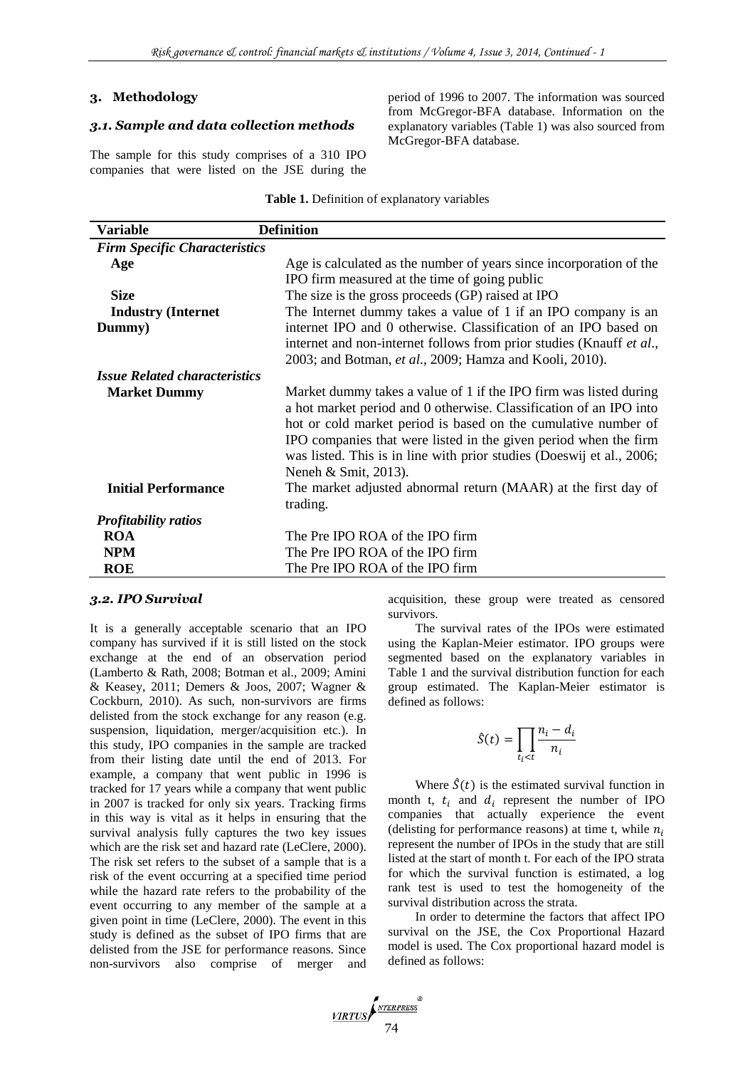### **3. Methodology**

### *3.1. Sample and data collection methods*

The sample for this study comprises of a 310 IPO companies that were listed on the JSE during the period of 1996 to 2007. The information was sourced from McGregor-BFA database. Information on the explanatory variables (Table 1) was also sourced from McGregor-BFA database.

**Table 1.** Definition of explanatory variables

| Variable                             | <b>Definition</b>                                                                                                                                                                                                                   |
|--------------------------------------|-------------------------------------------------------------------------------------------------------------------------------------------------------------------------------------------------------------------------------------|
| <b>Firm Specific Characteristics</b> |                                                                                                                                                                                                                                     |
| Age                                  | Age is calculated as the number of years since incorporation of the                                                                                                                                                                 |
|                                      | IPO firm measured at the time of going public                                                                                                                                                                                       |
| <b>Size</b>                          | The size is the gross proceeds (GP) raised at IPO                                                                                                                                                                                   |
| <b>Industry (Internet)</b>           | The Internet dummy takes a value of 1 if an IPO company is an                                                                                                                                                                       |
| Dummy)                               | internet IPO and 0 otherwise. Classification of an IPO based on                                                                                                                                                                     |
|                                      | internet and non-internet follows from prior studies (Knauff et al.,                                                                                                                                                                |
|                                      | 2003; and Botman, et al., 2009; Hamza and Kooli, 2010).                                                                                                                                                                             |
| <b>Issue Related characteristics</b> |                                                                                                                                                                                                                                     |
| <b>Market Dummy</b>                  | Market dummy takes a value of 1 if the IPO firm was listed during<br>a hot market period and 0 otherwise. Classification of an IPO into                                                                                             |
|                                      | hot or cold market period is based on the cumulative number of<br>IPO companies that were listed in the given period when the firm<br>was listed. This is in line with prior studies (Doeswij et al., 2006;<br>Neneh & Smit, 2013). |
| <b>Initial Performance</b>           | The market adjusted abnormal return (MAAR) at the first day of                                                                                                                                                                      |
|                                      | trading.                                                                                                                                                                                                                            |
| <b>Profitability ratios</b>          |                                                                                                                                                                                                                                     |
| <b>ROA</b>                           | The Pre IPO ROA of the IPO firm                                                                                                                                                                                                     |
| <b>NPM</b>                           | The Pre IPO ROA of the IPO firm                                                                                                                                                                                                     |
| <b>ROE</b>                           | The Pre IPO ROA of the IPO firm                                                                                                                                                                                                     |

### *3.2. IPO Survival*

It is a generally acceptable scenario that an IPO company has survived if it is still listed on the stock exchange at the end of an observation period (Lamberto & Rath, 2008; Botman et al., 2009; Amini & Keasey, 2011; Demers & Joos, 2007; Wagner & Cockburn, 2010). As such, non-survivors are firms delisted from the stock exchange for any reason (e.g. suspension, liquidation, merger/acquisition etc.). In this study, IPO companies in the sample are tracked from their listing date until the end of 2013. For example, a company that went public in 1996 is tracked for 17 years while a company that went public in 2007 is tracked for only six years. Tracking firms in this way is vital as it helps in ensuring that the survival analysis fully captures the two key issues which are the risk set and hazard rate (LeClere, 2000). The risk set refers to the subset of a sample that is a risk of the event occurring at a specified time period while the hazard rate refers to the probability of the event occurring to any member of the sample at a given point in time (LeClere, 2000). The event in this study is defined as the subset of IPO firms that are delisted from the JSE for performance reasons. Since non-survivors also comprise of merger and acquisition, these group were treated as censored survivors.

The survival rates of the IPOs were estimated using the Kaplan-Meier estimator. IPO groups were segmented based on the explanatory variables in Table 1 and the survival distribution function for each group estimated. The Kaplan-Meier estimator is defined as follows:

$$
\hat{S}(t) = \prod_{t_i < t} \frac{n_i - d_i}{n_i}
$$

Where  $\hat{S}(t)$  is the estimated survival function in month t,  $t_i$  and  $d_i$  represent the number of IPO companies that actually experience the event (delisting for performance reasons) at time t, while  $n_i$ represent the number of IPOs in the study that are still listed at the start of month t. For each of the IPO strata for which the survival function is estimated, a log rank test is used to test the homogeneity of the survival distribution across the strata.

In order to determine the factors that affect IPO survival on the JSE, the Cox Proportional Hazard model is used. The Cox proportional hazard model is defined as follows: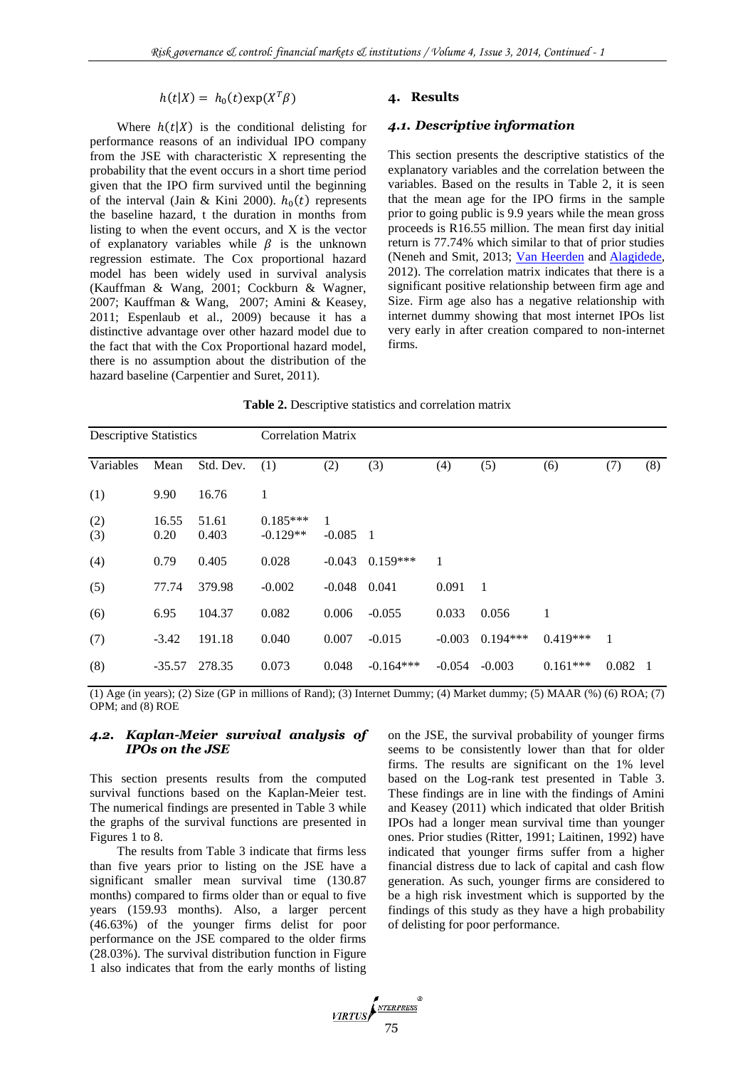$h(t|X) = h_0(t) \exp(X^T \beta)$ 

Where  $h(t|X)$  is the conditional delisting for performance reasons of an individual IPO company from the JSE with characteristic X representing the probability that the event occurs in a short time period given that the IPO firm survived until the beginning of the interval (Jain & Kini 2000).  $h_0(t)$  represents the baseline hazard, t the duration in months from listing to when the event occurs, and X is the vector of explanatory variables while  $\beta$  is the unknown regression estimate. The Cox proportional hazard model has been widely used in survival analysis (Kauffman & Wang, 2001; Cockburn & Wagner, 2007; Kauffman & Wang, 2007; Amini & Keasey, 2011; Espenlaub et al., 2009) because it has a distinctive advantage over other hazard model due to the fact that with the Cox Proportional hazard model, there is no assumption about the distribution of the hazard baseline (Carpentier and Suret, 2011).

#### **4. Results**

### *4.1. Descriptive information*

This section presents the descriptive statistics of the explanatory variables and the correlation between the variables. Based on the results in Table 2, it is seen that the mean age for the IPO firms in the sample prior to going public is 9.9 years while the mean gross proceeds is R16.55 million. The mean first day initial return is 77.74% which similar to that of prior studies (Neneh and Smit, 2013; [Van Heerden](http://www.sciencedirect.com/science/article/pii/S1879933712000310) and [Alagidede,](http://www.sciencedirect.com/science/article/pii/S1879933712000310) 2012). The correlation matrix indicates that there is a significant positive relationship between firm age and Size. Firm age also has a negative relationship with internet dummy showing that most internet IPOs list very early in after creation compared to non-internet firms.

**Table 2.** Descriptive statistics and correlation matrix

| <b>Descriptive Statistics</b> |               |                | <b>Correlation Matrix</b> |               |             |          |            |            |       |                |  |
|-------------------------------|---------------|----------------|---------------------------|---------------|-------------|----------|------------|------------|-------|----------------|--|
| Variables                     | Mean          | Std. Dev.      | (1)                       | (2)           | (3)         | (4)      | (5)        | (6)        | (7)   | (8)            |  |
| (1)                           | 9.90          | 16.76          | 1                         |               |             |          |            |            |       |                |  |
| (2)<br>(3)                    | 16.55<br>0.20 | 51.61<br>0.403 | $0.185***$<br>$-0.129**$  | 1<br>$-0.085$ | - 1         |          |            |            |       |                |  |
| (4)                           | 0.79          | 0.405          | 0.028                     | $-0.043$      | $0.159***$  |          |            |            |       |                |  |
| (5)                           | 77.74         | 379.98         | $-0.002$                  | $-0.048$      | 0.041       | 0.091    | 1          |            |       |                |  |
| (6)                           | 6.95          | 104.37         | 0.082                     | 0.006         | $-0.055$    | 0.033    | 0.056      | 1          |       |                |  |
| (7)                           | $-3.42$       | 191.18         | 0.040                     | 0.007         | $-0.015$    | $-0.003$ | $0.194***$ | $0.419***$ | -1    |                |  |
| (8)                           | $-35.57$      | 278.35         | 0.073                     | 0.048         | $-0.164***$ | $-0.054$ | $-0.003$   | $0.161***$ | 0.082 | $\blacksquare$ |  |

(1) Age (in years); (2) Size (GP in millions of Rand); (3) Internet Dummy; (4) Market dummy; (5) MAAR (%) (6) ROA; (7) OPM; and (8) ROE

### *4.2. Kaplan-Meier survival analysis of IPOs on the JSE*

This section presents results from the computed survival functions based on the Kaplan-Meier test. The numerical findings are presented in Table 3 while the graphs of the survival functions are presented in Figures 1 to 8.

The results from Table 3 indicate that firms less than five years prior to listing on the JSE have a significant smaller mean survival time (130.87 months) compared to firms older than or equal to five years (159.93 months). Also, a larger percent (46.63%) of the younger firms delist for poor performance on the JSE compared to the older firms (28.03%). The survival distribution function in Figure 1 also indicates that from the early months of listing on the JSE, the survival probability of younger firms seems to be consistently lower than that for older firms. The results are significant on the 1% level based on the Log-rank test presented in Table 3. These findings are in line with the findings of Amini and Keasey (2011) which indicated that older British IPOs had a longer mean survival time than younger ones. Prior studies (Ritter, 1991; Laitinen, 1992) have indicated that younger firms suffer from a higher financial distress due to lack of capital and cash flow generation. As such, younger firms are considered to be a high risk investment which is supported by the findings of this study as they have a high probability of delisting for poor performance.

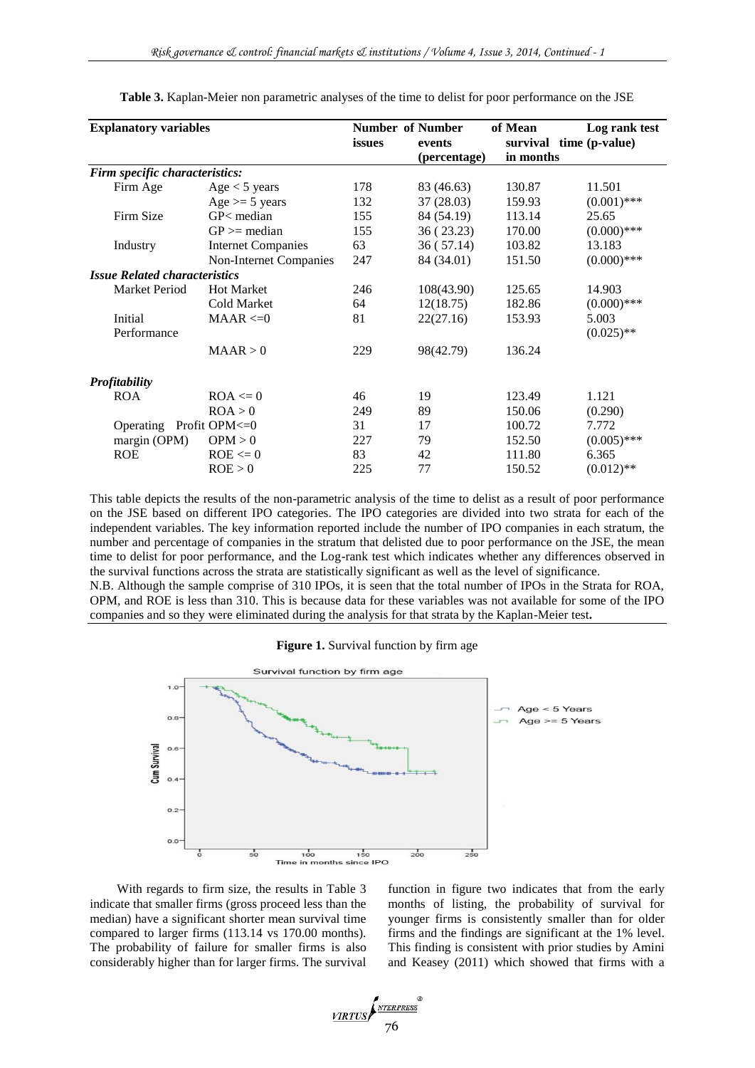| <b>Explanatory variables</b>         | issues                    | <b>Number of Number</b><br>events | of Mean      | Log rank test<br>survival time (p-value) |               |
|--------------------------------------|---------------------------|-----------------------------------|--------------|------------------------------------------|---------------|
|                                      |                           |                                   | (percentage) | in months                                |               |
| Firm specific characteristics:       |                           |                                   |              |                                          |               |
| Firm Age                             | Age < 5 years             | 178                               | 83 (46.63)   | 130.87                                   | 11.501        |
|                                      | Age $>=$ 5 years          | 132                               | 37(28.03)    | 159.93                                   | $(0.001)$ *** |
| Firm Size                            | $GP<$ median              | 155                               | 84 (54.19)   | 113.14                                   | 25.65         |
|                                      | $GP \geq median$          | 155                               | 36(23.23)    | 170.00                                   | $(0.000)$ *** |
| Industry                             | <b>Internet Companies</b> | 63                                | 36(57.14)    | 103.82                                   | 13.183        |
|                                      | Non-Internet Companies    | 247                               | 84 (34.01)   | 151.50                                   | $(0.000)$ *** |
| <b>Issue Related characteristics</b> |                           |                                   |              |                                          |               |
| <b>Market Period</b>                 | <b>Hot Market</b>         | 246                               | 108(43.90)   | 125.65                                   | 14.903        |
|                                      | Cold Market               | 64                                | 12(18.75)    | 182.86                                   | $(0.000)$ *** |
| Initial                              | $MAAR \leq 0$             | 81                                | 22(27.16)    | 153.93                                   | 5.003         |
| Performance                          |                           |                                   |              |                                          | $(0.025)$ **  |
|                                      | MAAR > 0                  | 229                               | 98(42.79)    | 136.24                                   |               |
| <b>Profitability</b>                 |                           |                                   |              |                                          |               |
| <b>ROA</b>                           | $ROA \leq 0$              | 46                                | 19           | 123.49                                   | 1.121         |
|                                      | ROA > 0                   | 249                               | 89           | 150.06                                   | (0.290)       |
| Operating                            | Profit OPM<=0             | 31                                | 17           | 100.72                                   | 7.772         |
| margin (OPM)                         | OPM > 0                   | 227                               | 79           | 152.50                                   | $(0.005)$ *** |
| <b>ROE</b>                           | $ROE \le 0$               | 83                                | 42           | 111.80                                   | 6.365         |
|                                      | ROE > 0                   | 225                               | 77           | 150.52                                   | $(0.012)$ **  |

**Table 3.** Kaplan-Meier non parametric analyses of the time to delist for poor performance on the JSE

This table depicts the results of the non-parametric analysis of the time to delist as a result of poor performance on the JSE based on different IPO categories. The IPO categories are divided into two strata for each of the independent variables. The key information reported include the number of IPO companies in each stratum, the number and percentage of companies in the stratum that delisted due to poor performance on the JSE, the mean time to delist for poor performance, and the Log-rank test which indicates whether any differences observed in the survival functions across the strata are statistically significant as well as the level of significance.

N.B. Although the sample comprise of 310 IPOs, it is seen that the total number of IPOs in the Strata for ROA, OPM, and ROE is less than 310. This is because data for these variables was not available for some of the IPO companies and so they were eliminated during the analysis for that strata by the Kaplan-Meier test**.**

|  | Figure 1. Survival function by firm age |  |  |  |  |  |  |  |  |
|--|-----------------------------------------|--|--|--|--|--|--|--|--|
|--|-----------------------------------------|--|--|--|--|--|--|--|--|



With regards to firm size, the results in Table 3 indicate that smaller firms (gross proceed less than the median) have a significant shorter mean survival time compared to larger firms (113.14 vs 170.00 months). The probability of failure for smaller firms is also considerably higher than for larger firms. The survival function in figure two indicates that from the early months of listing, the probability of survival for younger firms is consistently smaller than for older firms and the findings are significant at the 1% level. This finding is consistent with prior studies by Amini and Keasey (2011) which showed that firms with a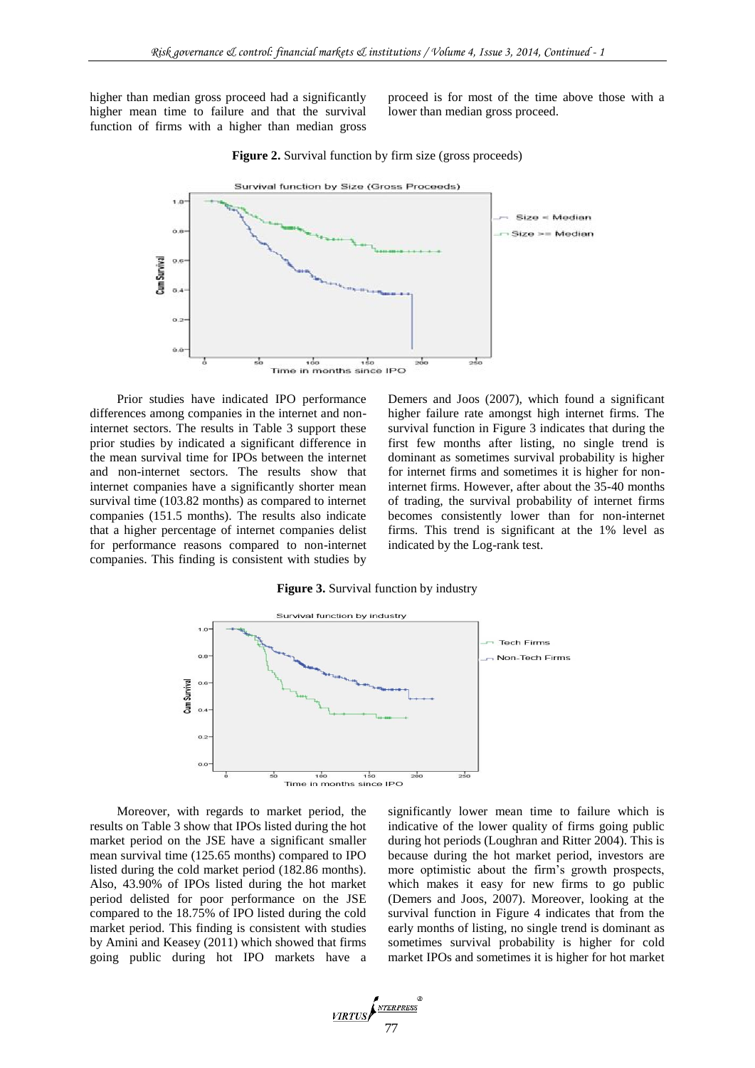higher than median gross proceed had a significantly higher mean time to failure and that the survival function of firms with a higher than median gross

proceed is for most of the time above those with a lower than median gross proceed.



**Figure 2.** Survival function by firm size (gross proceeds)

Prior studies have indicated IPO performance differences among companies in the internet and noninternet sectors. The results in Table 3 support these prior studies by indicated a significant difference in the mean survival time for IPOs between the internet and non-internet sectors. The results show that internet companies have a significantly shorter mean survival time (103.82 months) as compared to internet companies (151.5 months). The results also indicate that a higher percentage of internet companies delist for performance reasons compared to non-internet companies. This finding is consistent with studies by Demers and Joos (2007), which found a significant higher failure rate amongst high internet firms. The survival function in Figure 3 indicates that during the first few months after listing, no single trend is dominant as sometimes survival probability is higher for internet firms and sometimes it is higher for noninternet firms. However, after about the 35-40 months of trading, the survival probability of internet firms becomes consistently lower than for non-internet firms. This trend is significant at the 1% level as indicated by the Log-rank test.

**Figure 3.** Survival function by industry



Moreover, with regards to market period, the results on Table 3 show that IPOs listed during the hot market period on the JSE have a significant smaller mean survival time (125.65 months) compared to IPO listed during the cold market period (182.86 months). Also, 43.90% of IPOs listed during the hot market period delisted for poor performance on the JSE compared to the 18.75% of IPO listed during the cold market period. This finding is consistent with studies by Amini and Keasey (2011) which showed that firms going public during hot IPO markets have a significantly lower mean time to failure which is indicative of the lower quality of firms going public during hot periods (Loughran and Ritter 2004). This is because during the hot market period, investors are more optimistic about the firm's growth prospects, which makes it easy for new firms to go public (Demers and Joos, 2007). Moreover, looking at the survival function in Figure 4 indicates that from the early months of listing, no single trend is dominant as sometimes survival probability is higher for cold market IPOs and sometimes it is higher for hot market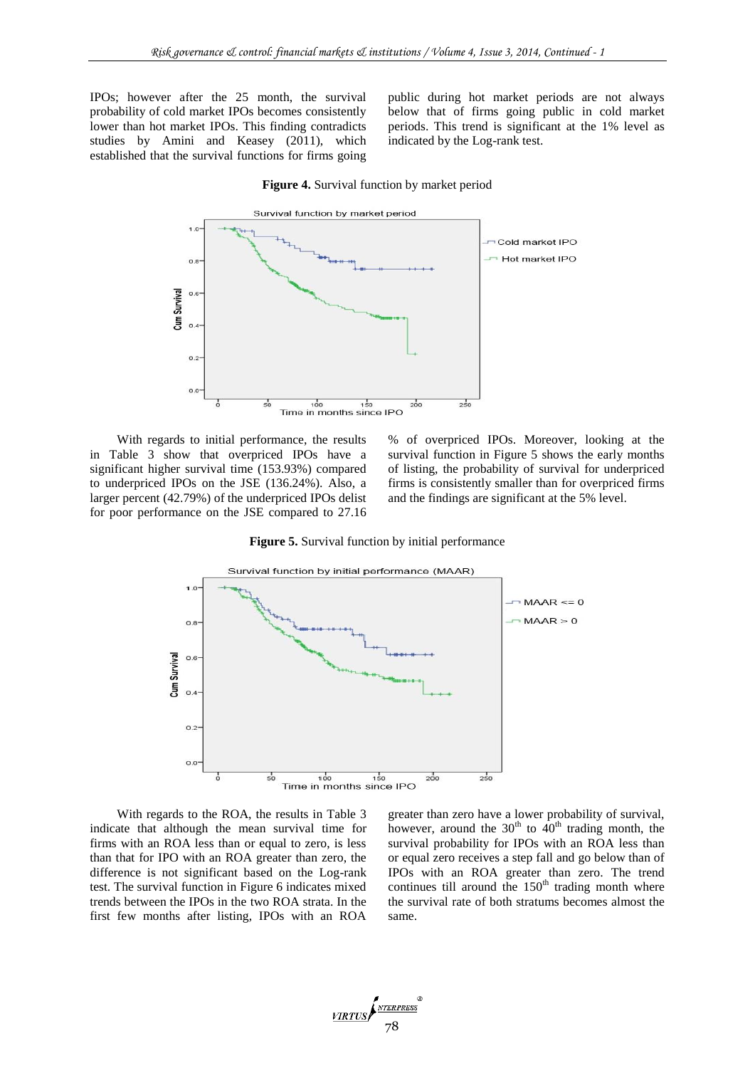IPOs; however after the 25 month, the survival probability of cold market IPOs becomes consistently lower than hot market IPOs. This finding contradicts studies by Amini and Keasey (2011), which established that the survival functions for firms going

public during hot market periods are not always below that of firms going public in cold market periods. This trend is significant at the 1% level as indicated by the Log-rank test.

#### **Figure 4.** Survival function by market period



With regards to initial performance, the results in Table 3 show that overpriced IPOs have a significant higher survival time (153.93%) compared to underpriced IPOs on the JSE (136.24%). Also, a larger percent (42.79%) of the underpriced IPOs delist for poor performance on the JSE compared to 27.16

% of overpriced IPOs. Moreover, looking at the survival function in Figure 5 shows the early months of listing, the probability of survival for underpriced firms is consistently smaller than for overpriced firms and the findings are significant at the 5% level.

**Figure 5.** Survival function by initial performance



With regards to the ROA, the results in Table 3 indicate that although the mean survival time for firms with an ROA less than or equal to zero, is less than that for IPO with an ROA greater than zero, the difference is not significant based on the Log-rank test. The survival function in Figure 6 indicates mixed trends between the IPOs in the two ROA strata. In the first few months after listing, IPOs with an ROA

greater than zero have a lower probability of survival, however, around the  $30<sup>th</sup>$  to  $40<sup>th</sup>$  trading month, the survival probability for IPOs with an ROA less than or equal zero receives a step fall and go below than of IPOs with an ROA greater than zero. The trend continues till around the  $150<sup>th</sup>$  trading month where the survival rate of both stratums becomes almost the same.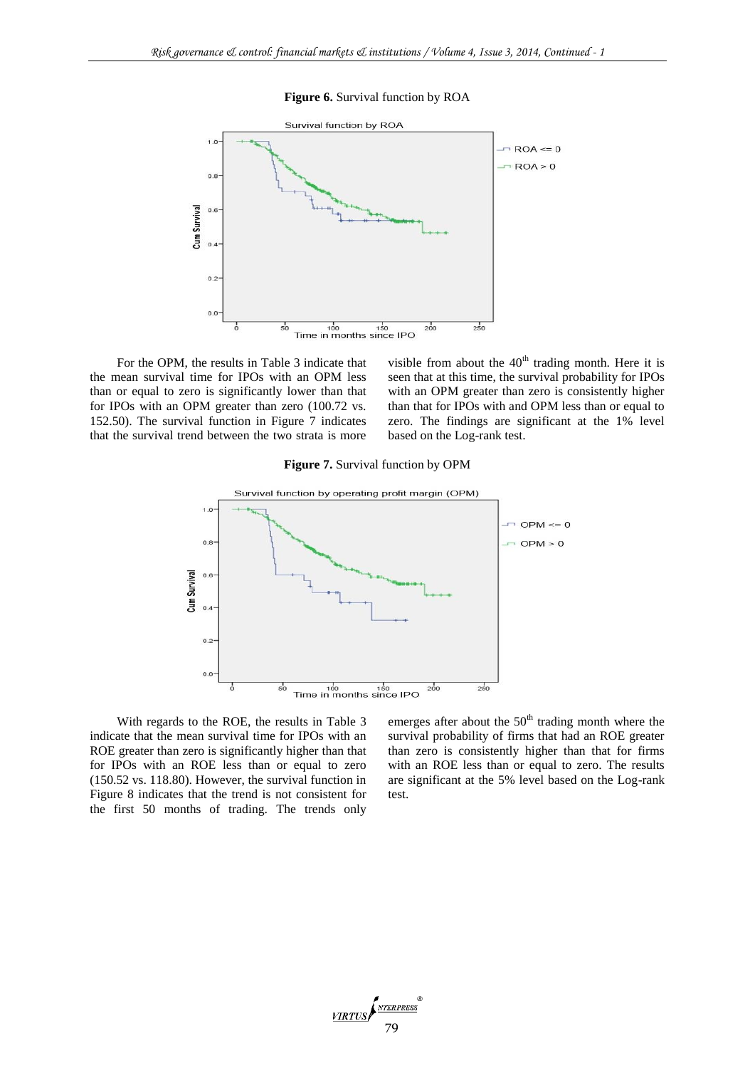**Figure 6.** Survival function by ROA



For the OPM, the results in Table 3 indicate that the mean survival time for IPOs with an OPM less than or equal to zero is significantly lower than that for IPOs with an OPM greater than zero (100.72 vs. 152.50). The survival function in Figure 7 indicates that the survival trend between the two strata is more visible from about the  $40<sup>th</sup>$  trading month. Here it is seen that at this time, the survival probability for IPOs with an OPM greater than zero is consistently higher than that for IPOs with and OPM less than or equal to zero. The findings are significant at the 1% level based on the Log-rank test.

#### **Figure 7.** Survival function by OPM



With regards to the ROE, the results in Table 3 indicate that the mean survival time for IPOs with an ROE greater than zero is significantly higher than that for IPOs with an ROE less than or equal to zero (150.52 vs. 118.80). However, the survival function in Figure 8 indicates that the trend is not consistent for the first 50 months of trading. The trends only

emerges after about the  $50<sup>th</sup>$  trading month where the survival probability of firms that had an ROE greater than zero is consistently higher than that for firms with an ROE less than or equal to zero. The results are significant at the 5% level based on the Log-rank test.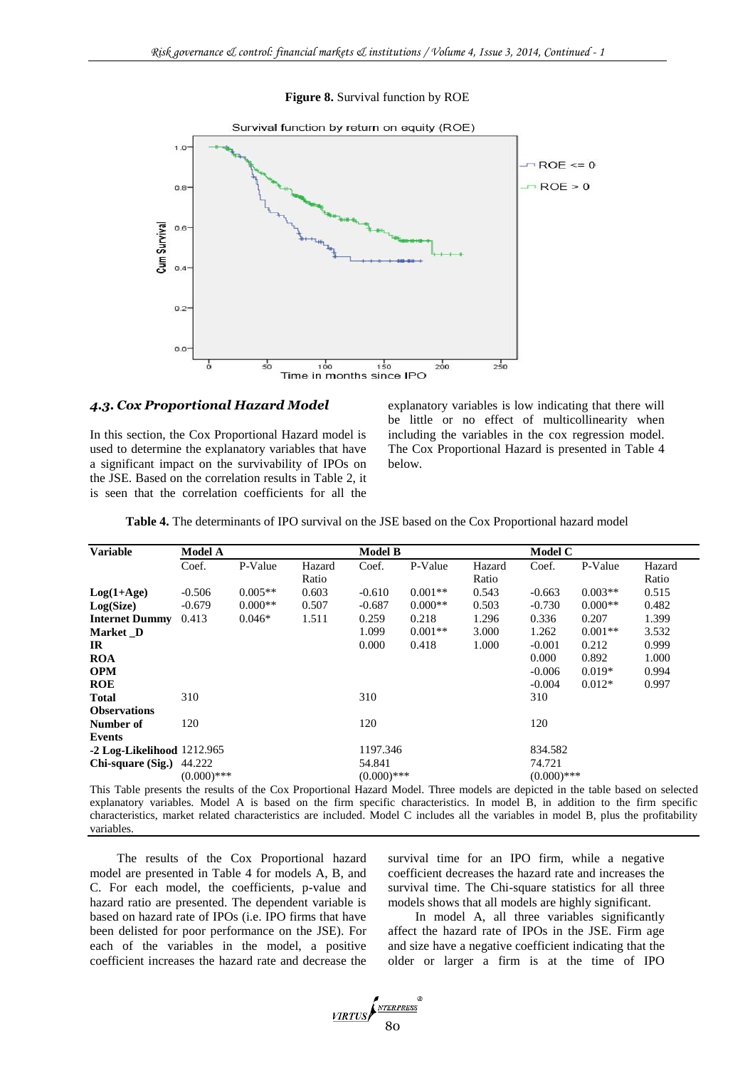**Figure 8.** Survival function by ROE



#### *4.3. Cox Proportional Hazard Model*

In this section, the Cox Proportional Hazard model is used to determine the explanatory variables that have a significant impact on the survivability of IPOs on the JSE. Based on the correlation results in Table 2, it is seen that the correlation coefficients for all the

explanatory variables is low indicating that there will be little or no effect of multicollinearity when including the variables in the cox regression model. The Cox Proportional Hazard is presented in Table 4 below.

| <b>Variable</b>                                                                                                                | <b>Model A</b> |           |        | <b>Model B</b> |           |        | Model C       |           |        |
|--------------------------------------------------------------------------------------------------------------------------------|----------------|-----------|--------|----------------|-----------|--------|---------------|-----------|--------|
|                                                                                                                                | Coef.          | P-Value   | Hazard | Coef.          | P-Value   | Hazard | Coef.         | P-Value   | Hazard |
|                                                                                                                                |                |           | Ratio  |                |           | Ratio  |               |           | Ratio  |
| $Log(1+Age)$                                                                                                                   | $-0.506$       | $0.005**$ | 0.603  | $-0.610$       | $0.001**$ | 0.543  | $-0.663$      | $0.003**$ | 0.515  |
| Log(Size)                                                                                                                      | $-0.679$       | $0.000**$ | 0.507  | $-0.687$       | $0.000**$ | 0.503  | $-0.730$      | $0.000**$ | 0.482  |
| <b>Internet Dummy</b>                                                                                                          | 0.413          | $0.046*$  | 1.511  | 0.259          | 0.218     | 1.296  | 0.336         | 0.207     | 1.399  |
| Market D                                                                                                                       |                |           |        | 1.099          | $0.001**$ | 3.000  | 1.262         | $0.001**$ | 3.532  |
| IR                                                                                                                             |                |           |        | 0.000          | 0.418     | 1.000  | $-0.001$      | 0.212     | 0.999  |
| <b>ROA</b>                                                                                                                     |                |           |        |                |           |        | 0.000         | 0.892     | 1.000  |
| <b>OPM</b>                                                                                                                     |                |           |        |                |           |        | $-0.006$      | $0.019*$  | 0.994  |
| <b>ROE</b>                                                                                                                     |                |           |        |                |           |        | $-0.004$      | $0.012*$  | 0.997  |
| Total                                                                                                                          | 310            |           |        | 310            |           |        | 310           |           |        |
| <b>Observations</b>                                                                                                            |                |           |        |                |           |        |               |           |        |
| Number of                                                                                                                      | 120            |           |        | 120            |           |        | 120           |           |        |
| Events                                                                                                                         |                |           |        |                |           |        |               |           |        |
| -2 Log-Likelihood 1212.965                                                                                                     |                |           |        | 1197.346       |           |        | 834.582       |           |        |
| Chi-square $(Sig.)$ 44.222                                                                                                     |                |           |        | 54.841         |           |        | 74.721        |           |        |
|                                                                                                                                | $(0.000)$ ***  |           |        | $(0.000)$ ***  |           |        | $(0.000)$ *** |           |        |
| This Table presents the results of the Cox Proportional Hazard Model. Three models are depicted in the table based on selected |                |           |        |                |           |        |               |           |        |

explanatory variables. Model A is based on the firm specific characteristics. In model B, in addition to the firm specific characteristics, market related characteristics are included. Model C includes all the variables in model B, plus the profitability variables

The results of the Cox Proportional hazard model are presented in Table 4 for models A, B, and C. For each model, the coefficients, p-value and hazard ratio are presented. The dependent variable is based on hazard rate of IPOs (i.e. IPO firms that have been delisted for poor performance on the JSE). For each of the variables in the model, a positive coefficient increases the hazard rate and decrease the survival time for an IPO firm, while a negative coefficient decreases the hazard rate and increases the survival time. The Chi-square statistics for all three models shows that all models are highly significant.

In model A, all three variables significantly affect the hazard rate of IPOs in the JSE. Firm age and size have a negative coefficient indicating that the older or larger a firm is at the time of IPO

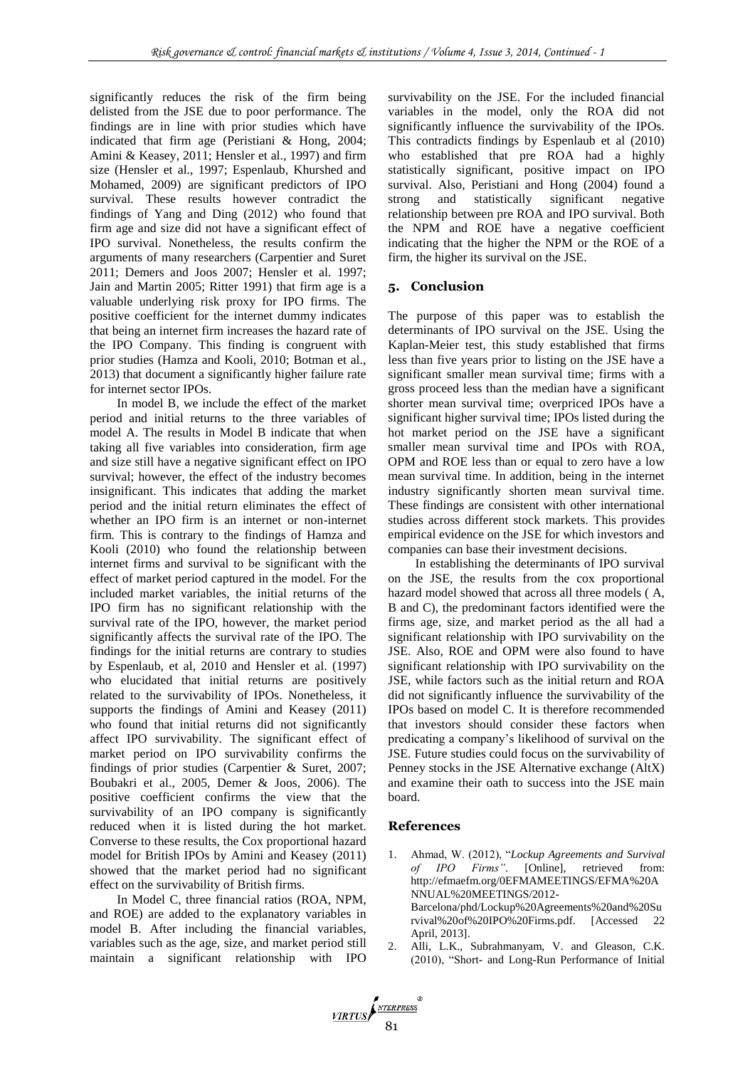significantly reduces the risk of the firm being delisted from the JSE due to poor performance. The findings are in line with prior studies which have indicated that firm age (Peristiani & Hong, 2004; Amini & Keasey, 2011; Hensler et al., 1997) and firm size (Hensler et al., 1997; Espenlaub, Khurshed and Mohamed, 2009) are significant predictors of IPO survival. These results however contradict the findings of Yang and Ding (2012) who found that firm age and size did not have a significant effect of IPO survival. Nonetheless, the results confirm the arguments of many researchers (Carpentier and Suret 2011; Demers and Joos 2007; Hensler et al. 1997; Jain and Martin 2005; Ritter 1991) that firm age is a valuable underlying risk proxy for IPO firms. The positive coefficient for the internet dummy indicates that being an internet firm increases the hazard rate of the IPO Company. This finding is congruent with prior studies (Hamza and Kooli, 2010; Botman et al., 2013) that document a significantly higher failure rate for internet sector IPOs.

In model B, we include the effect of the market period and initial returns to the three variables of model A. The results in Model B indicate that when taking all five variables into consideration, firm age and size still have a negative significant effect on IPO survival; however, the effect of the industry becomes insignificant. This indicates that adding the market period and the initial return eliminates the effect of whether an IPO firm is an internet or non-internet firm. This is contrary to the findings of Hamza and Kooli (2010) who found the relationship between internet firms and survival to be significant with the effect of market period captured in the model. For the included market variables, the initial returns of the IPO firm has no significant relationship with the survival rate of the IPO, however, the market period significantly affects the survival rate of the IPO. The findings for the initial returns are contrary to studies by Espenlaub, et al, 2010 and Hensler et al. (1997) who elucidated that initial returns are positively related to the survivability of IPOs. Nonetheless, it supports the findings of Amini and Keasey (2011) who found that initial returns did not significantly affect IPO survivability. The significant effect of market period on IPO survivability confirms the findings of prior studies (Carpentier & Suret, 2007; Boubakri et al., 2005, Demer & Joos, 2006). The positive coefficient confirms the view that the survivability of an IPO company is significantly reduced when it is listed during the hot market. Converse to these results, the Cox proportional hazard model for British IPOs by Amini and Keasey (2011) showed that the market period had no significant effect on the survivability of British firms.

In Model C, three financial ratios (ROA, NPM, and ROE) are added to the explanatory variables in model B. After including the financial variables, variables such as the age, size, and market period still maintain a significant relationship with IPO survivability on the JSE. For the included financial variables in the model, only the ROA did not significantly influence the survivability of the IPOs. This contradicts findings by Espenlaub et al (2010) who established that pre ROA had a highly statistically significant, positive impact on IPO survival. Also, Peristiani and Hong (2004) found a strong and statistically significant negative relationship between pre ROA and IPO survival. Both the NPM and ROE have a negative coefficient indicating that the higher the NPM or the ROE of a firm, the higher its survival on the JSE.

### **5. Conclusion**

The purpose of this paper was to establish the determinants of IPO survival on the JSE. Using the Kaplan-Meier test, this study established that firms less than five years prior to listing on the JSE have a significant smaller mean survival time; firms with a gross proceed less than the median have a significant shorter mean survival time; overpriced IPOs have a significant higher survival time; IPOs listed during the hot market period on the JSE have a significant smaller mean survival time and IPOs with ROA, OPM and ROE less than or equal to zero have a low mean survival time. In addition, being in the internet industry significantly shorten mean survival time. These findings are consistent with other international studies across different stock markets. This provides empirical evidence on the JSE for which investors and companies can base their investment decisions.

In establishing the determinants of IPO survival on the JSE, the results from the cox proportional hazard model showed that across all three models ( A, B and C), the predominant factors identified were the firms age, size, and market period as the all had a significant relationship with IPO survivability on the JSE. Also, ROE and OPM were also found to have significant relationship with IPO survivability on the JSE, while factors such as the initial return and ROA did not significantly influence the survivability of the IPOs based on model C. It is therefore recommended that investors should consider these factors when predicating a company's likelihood of survival on the JSE. Future studies could focus on the survivability of Penney stocks in the JSE Alternative exchange (AltX) and examine their oath to success into the JSE main board.

#### **References**

- 1. Ahmad, W. (2012), "*Lockup Agreements and Survival of IPO Firms"*. [Online], retrieved from: [http://efmaefm.org/0EFMAMEETINGS/EFMA%20A](http://efmaefm.org/0EFMAMEETINGS/EFMA%20ANNUAL%20MEETINGS/2012-Barcelona/phd/Lockup%20Agreements%20and%20Survival%20of%20IPO%20Firms.pdf) [NNUAL%20MEETINGS/2012-](http://efmaefm.org/0EFMAMEETINGS/EFMA%20ANNUAL%20MEETINGS/2012-Barcelona/phd/Lockup%20Agreements%20and%20Survival%20of%20IPO%20Firms.pdf) [Barcelona/phd/Lockup%20Agreements%20and%20Su](http://efmaefm.org/0EFMAMEETINGS/EFMA%20ANNUAL%20MEETINGS/2012-Barcelona/phd/Lockup%20Agreements%20and%20Survival%20of%20IPO%20Firms.pdf) [rvival%20of%20IPO%20Firms.pdf.](http://efmaefm.org/0EFMAMEETINGS/EFMA%20ANNUAL%20MEETINGS/2012-Barcelona/phd/Lockup%20Agreements%20and%20Survival%20of%20IPO%20Firms.pdf) [Accessed 22 April, 2013].
- 2. Alli, L.K., Subrahmanyam, V. and Gleason, C.K. (2010), "Short- and Long-Run Performance of Initial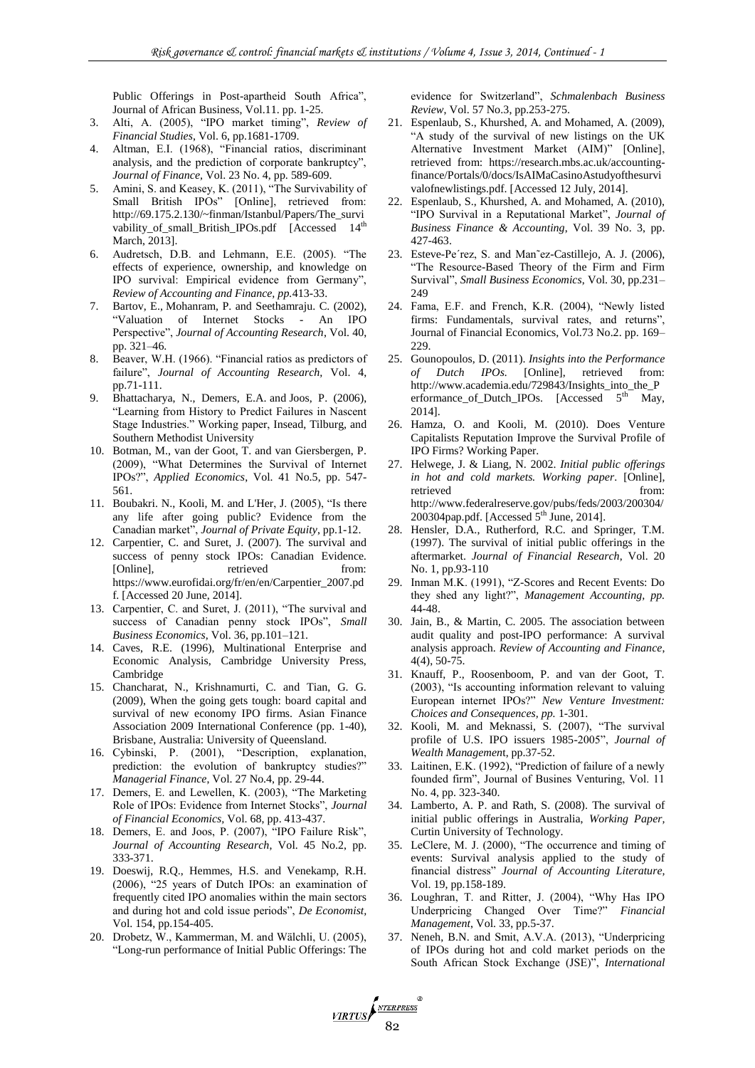Public Offerings in Post-apartheid South Africa", Journal of African Business, Vol.11. pp. 1-25.

- 3. Alti, A. (2005), "IPO market timing", *Review of Financial Studies*, Vol. 6, pp.1681-1709.
- 4. Altman, E.I. (1968), "Financial ratios, discriminant analysis, and the prediction of corporate bankruptcy", *Journal of Finance,* Vol. 23 No. 4, pp. 589-609.
- 5. Amini, S. and Keasey, K. (2011), "The Survivability of Small British IPOs" [Online], retrieved from: [http://69.175.2.130/~finman/Istanbul/Papers/The\\_survi](http://69.175.2.130/~finman/Istanbul/Papers/The_survivability_of_small_British_IPOs.pdf) [vability\\_of\\_small\\_British\\_IPOs.pdf](http://69.175.2.130/~finman/Istanbul/Papers/The_survivability_of_small_British_IPOs.pdf) [Accessed 14<sup>th</sup> March, 2013].
- 6. Audretsch, D.B. and Lehmann, E.E. (2005). "The effects of experience, ownership, and knowledge on IPO survival: Empirical evidence from Germany", *Review of Accounting and Finance, pp.*413-33.
- 7. Bartov, E., Mohanram, P. and Seethamraju. C. (2002), "Valuation of Internet Stocks - An IPO Perspective", *Journal of Accounting Research*, Vol. 40, pp. 321–46.
- 8. Beaver, W.H. (1966). "Financial ratios as predictors of failure", *Journal of Accounting Research,* Vol. 4, pp.71-111.
- 9. Bhattacharya, N., Demers, E.A. and Joos, P. (2006), "Learning from History to Predict Failures in Nascent Stage Industries." Working paper, Insead, Tilburg, and Southern Methodist University
- 10. Botman, M., van der Goot, T. and van Giersbergen, P. (2009), "What Determines the Survival of Internet IPOs?", *Applied Economics*, Vol. 41 No.5, pp. 547- 561.
- 11. Boubakri. N., Kooli, M. and L'Her, J. (2005), "Is there any life after going public? Evidence from the Canadian market", *Journal of Private Equity*, pp.1-12.
- 12. Carpentier, C. and Suret, J. (2007). The survival and success of penny stock IPOs: Canadian Evidence*.* [Online], retrieved from: [https://www.eurofidai.org/fr/en/en/Carpentier\\_2007.pd](https://www.eurofidai.org/fr/en/en/Carpentier_2007.pdf) [f.](https://www.eurofidai.org/fr/en/en/Carpentier_2007.pdf) [Accessed 20 June, 2014].
- 13. Carpentier, C. and Suret, J. (2011), "The survival and success of Canadian penny stock IPOs", *Small Business Economics*, Vol. 36, pp.101–121.
- 14. Caves, R.E. (1996), Multinational Enterprise and Economic Analysis, Cambridge University Press, Cambridge
- 15. Chancharat, N., Krishnamurti, C. and Tian, G. G. (2009), When the going gets tough: board capital and survival of new economy IPO firms. Asian Finance Association 2009 International Conference (pp. 1-40), Brisbane, Australia: University of Queensland.
- 16. Cybinski, P. (2001), "Description, explanation, prediction: the evolution of bankruptcy studies?" *Managerial Finance*, Vol. 27 No.4, pp. 29-44.
- 17. Demers, E. and Lewellen, K. (2003), "The Marketing Role of IPOs: Evidence from Internet Stocks", *Journal of Financial Economics,* Vol. 68, pp. 413-437.
- 18. Demers, E. and Joos, P. (2007), "IPO Failure Risk", *Journal of Accounting Research*, Vol. 45 No.2, pp. 333-371.
- 19. Doeswij, R.Q., Hemmes, H.S. and Venekamp, R.H. (2006), "25 years of Dutch IPOs: an examination of frequently cited IPO anomalies within the main sectors and during hot and cold issue periods", *De Economist,* Vol. 154, pp.154-405.
- 20. Drobetz, W., Kammerman, M. and Wälchli, U. (2005), "Long-run performance of Initial Public Offerings: The

evidence for Switzerland", *Schmalenbach Business Review*, Vol. 57 No.3, pp.253-275.

- 21. Espenlaub, S., Khurshed, A. and Mohamed, A. (2009), "A study of the survival of new listings on the UK Alternative Investment Market (AIM)" [Online], retrieved from: [https://research.mbs.ac.uk/accounting](https://research.mbs.ac.uk/accounting-finance/Portals/0/docs/IsAIMaCasinoAstudyofthesurvivalofnewlistings.pdf)[finance/Portals/0/docs/IsAIMaCasinoAstudyofthesurvi](https://research.mbs.ac.uk/accounting-finance/Portals/0/docs/IsAIMaCasinoAstudyofthesurvivalofnewlistings.pdf) [valofnewlistings.pdf.](https://research.mbs.ac.uk/accounting-finance/Portals/0/docs/IsAIMaCasinoAstudyofthesurvivalofnewlistings.pdf) [Accessed 12 July, 2014].
- 22. Espenlaub, S., Khurshed, A. and Mohamed, A. (2010), "IPO Survival in a Reputational Market", *Journal of Business Finance & Accounting*, Vol. 39 No. 3, pp. 427-463.
- 23. Esteve-Pe´rez, S. and Man˜ez-Castillejo, A. J. (2006), "The Resource-Based Theory of the Firm and Firm Survival", *Small Business Economics*, Vol. 30, pp.231– 249
- 24. Fama, E.F. and French, K.R. (2004), "Newly listed firms: Fundamentals, survival rates, and returns", Journal of Financial Economics, Vol.73 No.2. pp. 169– 229.
- 25. [Gounopoulos,](http://surrey.academia.edu/DimitriosGounopoulos) D. (2011). *Insights into the Performance of Dutch IPOs.* [Online], retrieved from: [http://www.academia.edu/729843/Insights\\_into\\_the\\_P](http://www.academia.edu/729843/Insights_into_the_Performance_of_Dutch_IPOs) erformance of Dutch IPOs. [Accessed  $5<sup>th</sup>$  May, 2014].
- 26. Hamza, O. and Kooli, M. (2010). Does Venture Capitalists Reputation Improve the Survival Profile of IPO Firms? Working Paper.
- 27. Helwege, J. & Liang, N. 2002. *Initial public offerings in hot and cold markets. Working paper*. [Online], retrieved from: [http://www.federalreserve.gov/pubs/feds/2003/200304/](http://www.federalreserve.gov/pubs/feds/2003/200304/200304pap.pdf) [200304pap.pdf.](http://www.federalreserve.gov/pubs/feds/2003/200304/200304pap.pdf) [Accessed  $5<sup>th</sup>$  June, 2014].
- 28. Hensler, D.A., Rutherford, R.C. and Springer, T.M. (1997). The survival of initial public offerings in the aftermarket. *Journal of Financial Research*, Vol. 20 No. 1, pp.93-110
- 29. Inman M.K. (1991), "Z-Scores and Recent Events: Do they shed any light?", *Management Accounting, pp.*  44-48.
- 30. Jain, B., & Martin, C. 2005. The association between audit quality and post-IPO performance: A survival analysis approach. *Review of Accounting and Finance*, 4(4), 50-75.
- 31. Knauff, P., Roosenboom, P. and van der Goot, T. (2003), "Is accounting information relevant to valuing European internet IPOs?" *New Venture Investment: Choices and Consequences, pp.* 1-301.
- 32. Kooli, M. and Meknassi, S. (2007), "The survival profile of U.S. IPO issuers 1985-2005", *Journal of Wealth Managemen*t, pp.37-52.
- 33. Laitinen, E.K. (1992), "Prediction of failure of a newly founded firm", Journal of Busines Venturing, Vol. 11 No. 4, pp. 323-340.
- 34. Lamberto, A. P. and Rath, S. (2008). The survival of initial public offerings in Australia, *Working Paper,* Curtin University of Technology.
- 35. LeClere, M. J. (2000), "The occurrence and timing of events: Survival analysis applied to the study of financial distress" *Journal of Accounting Literature,*  Vol. 19, pp.158-189.
- 36. Loughran, T. and Ritter, J. (2004), "Why Has IPO Underpricing Changed Over Time?" *Financial Management*, Vol. 33, pp.5-37.
- 37. Neneh, B.N. and Smit, A.V.A. (2013), "Underpricing of IPOs during hot and cold market periods on the South African Stock Exchange (JSE)", *International*

VIRTUS ANTERPRESS